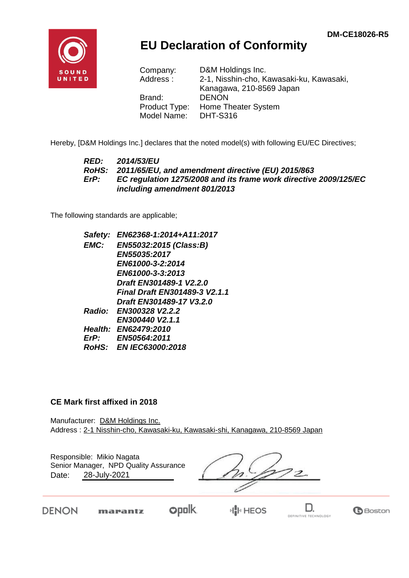

## **EU Declaration of Conformity**

| Company:      | D&M Holdings Inc.                        |
|---------------|------------------------------------------|
| Address:      | 2-1, Nisshin-cho, Kawasaki-ku, Kawasaki, |
|               | Kanagawa, 210-8569 Japan                 |
| Brand:        | <b>DENON</b>                             |
| Product Type: | Home Theater System                      |
| Model Name:   | <b>DHT-S316</b>                          |

Hereby, [D&M Holdings Inc.] declares that the noted model(s) with following EU/EC Directives;

#### *RED: 2014/53/EU RoHS: 2011/65/EU, and amendment directive (EU) 2015/863 ErP: EC regulation 1275/2008 and its frame work directive 2009/125/EC including amendment 801/2013*

The following standards are applicable;

| Safety:     | EN62368-1:2014+A11:2017       |
|-------------|-------------------------------|
| <b>EMC:</b> | EN55032:2015 (Class:B)        |
|             | EN55035:2017                  |
|             | EN61000-3-2:2014              |
|             | EN61000-3-3:2013              |
|             | Draft EN301489-1 V2.2.0       |
|             | Final Draft EN301489-3 V2.1.1 |
|             | Draft EN301489-17 V3.2.0      |
|             | Radio: EN300328 V2.2.2        |
|             | EN300440 V2.1.1               |
|             | Health: EN62479:2010          |
| $E$ r $P$ : | <b>EN50564:2011</b>           |
|             | RoHS: EN IEC63000:2018        |
|             |                               |

#### **CE Mark first affixed in 2018**

Manufacturer: D&M Holdings Inc. Address : 2-1 Nisshin-cho, Kawasaki-ku, Kawasaki-shi, Kanagawa, 210-8569 Japan

| Responsible: Mikio Nagata<br>Senior Manager, NPD Quality Assurance<br>28-July-2021<br>Date: |  |  |  |
|---------------------------------------------------------------------------------------------|--|--|--|
|                                                                                             |  |  |  |

DENON

 $opolk$ marantz

H<mark>I</mark>I⊡HEOS